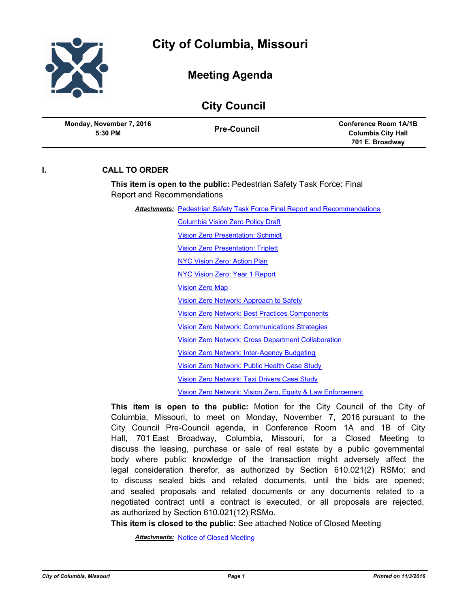

| <b>City Council</b>                 |                    |                                                                              |
|-------------------------------------|--------------------|------------------------------------------------------------------------------|
| Monday, November 7, 2016<br>5:30 PM | <b>Pre-Council</b> | <b>Conference Room 1A/1B</b><br><b>Columbia City Hall</b><br>701 E. Broadway |
|                                     |                    |                                                                              |

## **I. CALL TO ORDER**

**This item is open to the public:** Pedestrian Safety Task Force: Final Report and Recommendations

**Attachments: [Pedestrian Safety Task Force Final Report and Recommendations](http://gocolumbiamo.legistar.com/gateway.aspx?M=F&ID=b7419f5e-817a-4924-8f65-1b90e65ac251.pdf)** 

[Columbia Vision Zero Policy Draft](http://gocolumbiamo.legistar.com/gateway.aspx?M=F&ID=2f736059-abf9-48ef-8e4b-d887cca1575a.pdf) [Vision Zero Presentation: Schmidt](http://gocolumbiamo.legistar.com/gateway.aspx?M=F&ID=2a68926a-06f9-43d0-aa94-5bed8efd2418.ppt) [Vision Zero Presentation: Triplett](http://gocolumbiamo.legistar.com/gateway.aspx?M=F&ID=1cdc68b3-66f7-47d7-a675-0b46bd7235da.ppt) [NYC Vision Zero: Action Plan](http://gocolumbiamo.legistar.com/gateway.aspx?M=F&ID=aab26e65-06dc-45f5-967f-48ec02db88d8.pdf) [NYC Vision Zero: Year 1 Report](http://gocolumbiamo.legistar.com/gateway.aspx?M=F&ID=870e2bc0-d6b2-4400-adef-1d27a15a665b.pdf) [Vision Zero Map](http://gocolumbiamo.legistar.com/gateway.aspx?M=F&ID=7c1ef900-adf4-4ca2-bc00-24a1cf1244cc.pdf) [Vision Zero Network: Approach to Safety](http://gocolumbiamo.legistar.com/gateway.aspx?M=F&ID=304e3d35-1823-4a7c-b43a-3e58aa8a3beb.pdf) [Vision Zero Network: Best Practices Components](http://gocolumbiamo.legistar.com/gateway.aspx?M=F&ID=26453663-6be3-481c-89c1-d2fa91b13d74.pdf) [Vision Zero Network: Communications Strategies](http://gocolumbiamo.legistar.com/gateway.aspx?M=F&ID=736d2912-907b-42e3-9912-6ba8a2209c69.pdf) [Vision Zero Network: Cross Department Collaboration](http://gocolumbiamo.legistar.com/gateway.aspx?M=F&ID=4c8cb57b-34d8-4c0a-809f-6d2671cfce5d.pdf) [Vision Zero Network: Inter-Agency Budgeting](http://gocolumbiamo.legistar.com/gateway.aspx?M=F&ID=595a2f7b-7423-4b94-8257-f70c7945daab.pdf) [Vision Zero Network: Public Health Case Study](http://gocolumbiamo.legistar.com/gateway.aspx?M=F&ID=f4094bac-394f-4a52-af40-7673608f8de7.pdf) [Vision Zero Network: Taxi Drivers Case Study](http://gocolumbiamo.legistar.com/gateway.aspx?M=F&ID=bb1ad8a8-f4e5-4b32-89d5-7494fc5d7d6f.pdf) [Vision Zero Network: Vision Zero, Equity & Law Enforcement](http://gocolumbiamo.legistar.com/gateway.aspx?M=F&ID=78c3e80a-f986-4f09-9366-d145060321f0.doc)

**This item is open to the public:** Motion for the City Council of the City of Columbia, Missouri, to meet on Monday, November 7, 2016 pursuant to the City Council Pre-Council agenda, in Conference Room 1A and 1B of City Hall, 701 East Broadway, Columbia, Missouri, for a Closed Meeting to discuss the leasing, purchase or sale of real estate by a public governmental body where public knowledge of the transaction might adversely affect the legal consideration therefor, as authorized by Section 610.021(2) RSMo; and to discuss sealed bids and related documents, until the bids are opened; and sealed proposals and related documents or any documents related to a negotiated contract until a contract is executed, or all proposals are rejected, as authorized by Section 610.021(12) RSMo.

**This item is closed to the public:** See attached Notice of Closed Meeting

*Attachments:* [Notice of Closed Meeting](http://gocolumbiamo.legistar.com/gateway.aspx?M=F&ID=9e3cd8ba-151c-4e63-80e4-c695dc7a9a04.pdf)